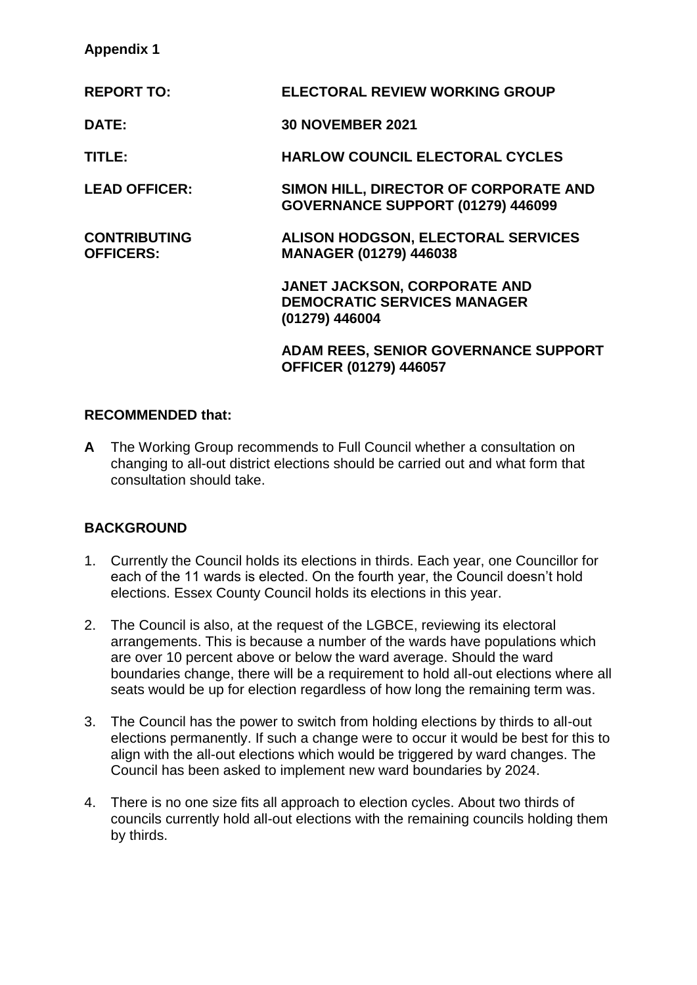# **Appendix 1**

| <b>ELECTORAL REVIEW WORKING GROUP</b>                                                       |
|---------------------------------------------------------------------------------------------|
| <b>30 NOVEMBER 2021</b>                                                                     |
| <b>HARLOW COUNCIL ELECTORAL CYCLES</b>                                                      |
| SIMON HILL, DIRECTOR OF CORPORATE AND<br>GOVERNANCE SUPPORT (01279) 446099                  |
| <b>ALISON HODGSON, ELECTORAL SERVICES</b><br><b>MANAGER (01279) 446038</b>                  |
| <b>JANET JACKSON, CORPORATE AND</b><br><b>DEMOCRATIC SERVICES MANAGER</b><br>(01279) 446004 |
| <b>ADAM REES, SENIOR GOVERNANCE SUPPORT</b><br><b>OFFICER (01279) 446057</b>                |
|                                                                                             |

## **RECOMMENDED that:**

**A** The Working Group recommends to Full Council whether a consultation on changing to all-out district elections should be carried out and what form that consultation should take.

# **BACKGROUND**

- 1. Currently the Council holds its elections in thirds. Each year, one Councillor for each of the 11 wards is elected. On the fourth year, the Council doesn't hold elections. Essex County Council holds its elections in this year.
- 2. The Council is also, at the request of the LGBCE, reviewing its electoral arrangements. This is because a number of the wards have populations which are over 10 percent above or below the ward average. Should the ward boundaries change, there will be a requirement to hold all-out elections where all seats would be up for election regardless of how long the remaining term was.
- 3. The Council has the power to switch from holding elections by thirds to all-out elections permanently. If such a change were to occur it would be best for this to align with the all-out elections which would be triggered by ward changes. The Council has been asked to implement new ward boundaries by 2024.
- 4. There is no one size fits all approach to election cycles. About two thirds of councils currently hold all-out elections with the remaining councils holding them by thirds.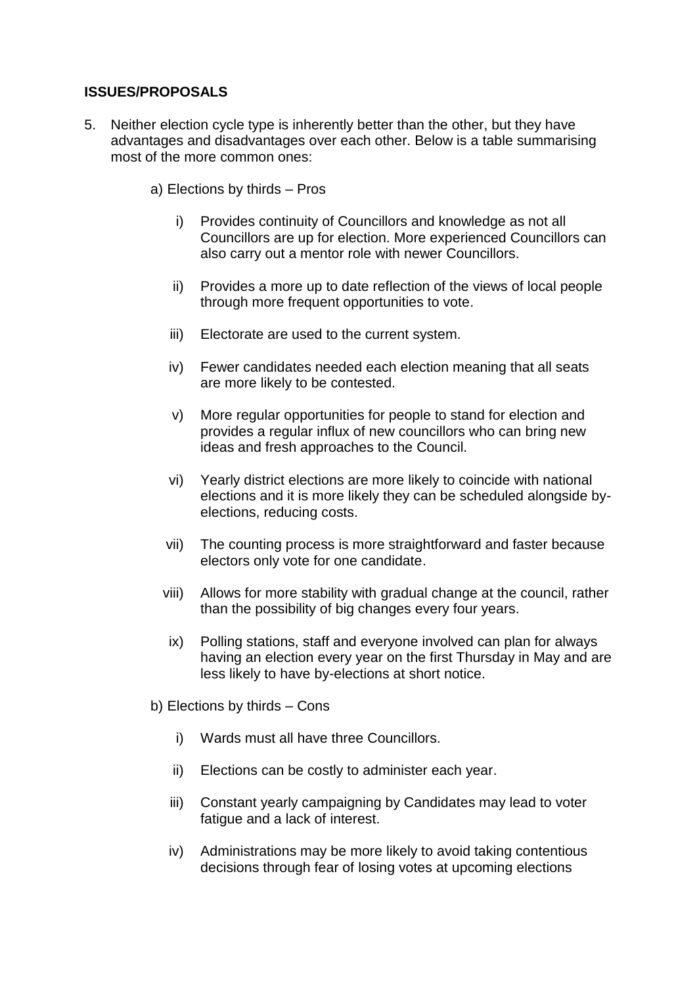# **ISSUES/PROPOSALS**

- 5. Neither election cycle type is inherently better than the other, but they have advantages and disadvantages over each other. Below is a table summarising most of the more common ones:
	- a) Elections by thirds Pros
		- i) Provides continuity of Councillors and knowledge as not all Councillors are up for election. More experienced Councillors can also carry out a mentor role with newer Councillors.
		- ii) Provides a more up to date reflection of the views of local people through more frequent opportunities to vote.
		- iii) Electorate are used to the current system.
		- iv) Fewer candidates needed each election meaning that all seats are more likely to be contested.
		- v) More regular opportunities for people to stand for election and provides a regular influx of new councillors who can bring new ideas and fresh approaches to the Council.
		- vi) Yearly district elections are more likely to coincide with national elections and it is more likely they can be scheduled alongside byelections, reducing costs.
		- vii) The counting process is more straightforward and faster because electors only vote for one candidate.
		- viii) Allows for more stability with gradual change at the council, rather than the possibility of big changes every four years.
		- ix) Polling stations, staff and everyone involved can plan for always having an election every year on the first Thursday in May and are less likely to have by-elections at short notice.
	- b) Elections by thirds Cons
		- i) Wards must all have three Councillors.
		- ii) Elections can be costly to administer each year.
		- iii) Constant yearly campaigning by Candidates may lead to voter fatigue and a lack of interest.
		- iv) Administrations may be more likely to avoid taking contentious decisions through fear of losing votes at upcoming elections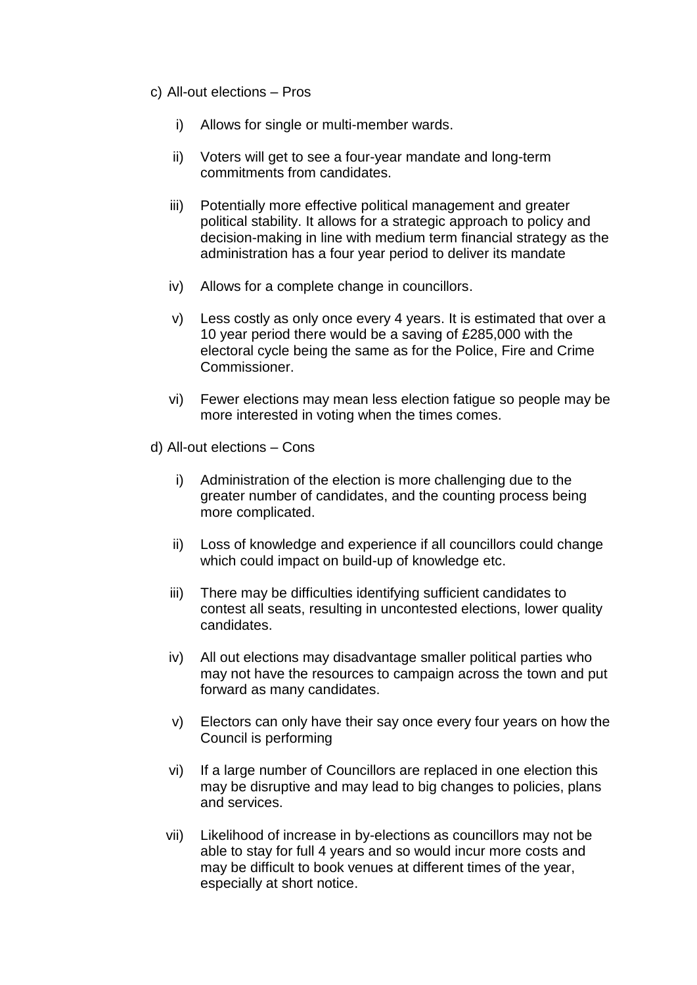- c) All-out elections Pros
	- i) Allows for single or multi-member wards.
	- ii) Voters will get to see a four-year mandate and long-term commitments from candidates.
	- iii) Potentially more effective political management and greater political stability. It allows for a strategic approach to policy and decision-making in line with medium term financial strategy as the administration has a four year period to deliver its mandate
	- iv) Allows for a complete change in councillors.
	- v) Less costly as only once every 4 years. It is estimated that over a 10 year period there would be a saving of £285,000 with the electoral cycle being the same as for the Police, Fire and Crime Commissioner.
	- vi) Fewer elections may mean less election fatigue so people may be more interested in voting when the times comes.
- d) All-out elections Cons
	- i) Administration of the election is more challenging due to the greater number of candidates, and the counting process being more complicated.
	- ii) Loss of knowledge and experience if all councillors could change which could impact on build-up of knowledge etc.
	- iii) There may be difficulties identifying sufficient candidates to contest all seats, resulting in uncontested elections, lower quality candidates.
	- iv) All out elections may disadvantage smaller political parties who may not have the resources to campaign across the town and put forward as many candidates.
	- v) Electors can only have their say once every four years on how the Council is performing
	- vi) If a large number of Councillors are replaced in one election this may be disruptive and may lead to big changes to policies, plans and services.
	- vii) Likelihood of increase in by-elections as councillors may not be able to stay for full 4 years and so would incur more costs and may be difficult to book venues at different times of the year, especially at short notice.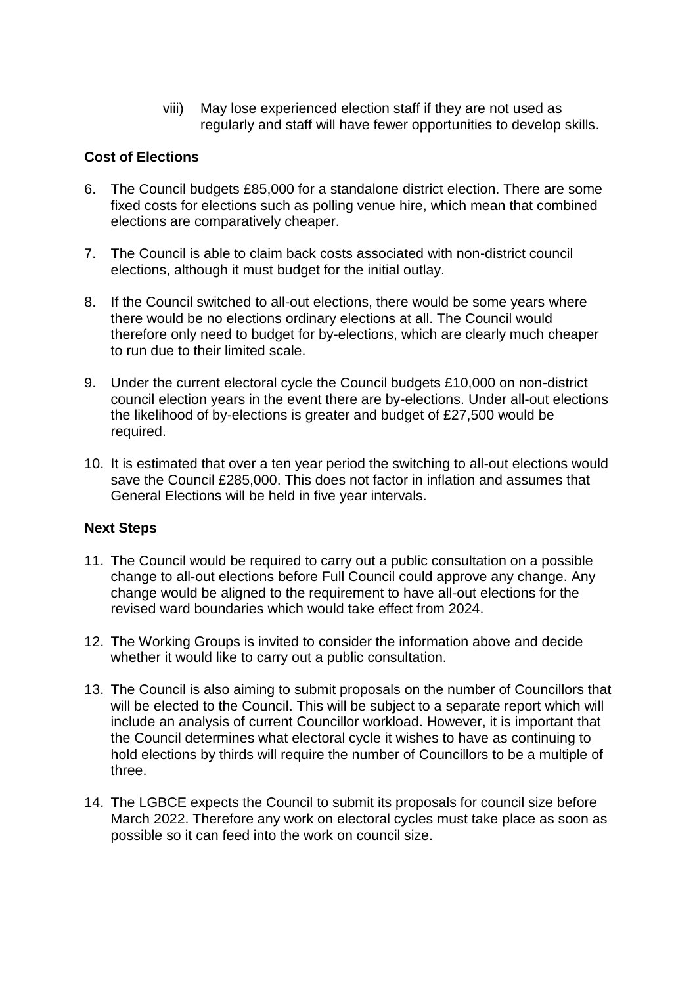viii) May lose experienced election staff if they are not used as regularly and staff will have fewer opportunities to develop skills.

# **Cost of Elections**

- 6. The Council budgets £85,000 for a standalone district election. There are some fixed costs for elections such as polling venue hire, which mean that combined elections are comparatively cheaper.
- 7. The Council is able to claim back costs associated with non-district council elections, although it must budget for the initial outlay.
- 8. If the Council switched to all-out elections, there would be some years where there would be no elections ordinary elections at all. The Council would therefore only need to budget for by-elections, which are clearly much cheaper to run due to their limited scale.
- 9. Under the current electoral cycle the Council budgets £10,000 on non-district council election years in the event there are by-elections. Under all-out elections the likelihood of by-elections is greater and budget of £27,500 would be required.
- 10. It is estimated that over a ten year period the switching to all-out elections would save the Council £285,000. This does not factor in inflation and assumes that General Elections will be held in five year intervals.

## **Next Steps**

- 11. The Council would be required to carry out a public consultation on a possible change to all-out elections before Full Council could approve any change. Any change would be aligned to the requirement to have all-out elections for the revised ward boundaries which would take effect from 2024.
- 12. The Working Groups is invited to consider the information above and decide whether it would like to carry out a public consultation.
- 13. The Council is also aiming to submit proposals on the number of Councillors that will be elected to the Council. This will be subject to a separate report which will include an analysis of current Councillor workload. However, it is important that the Council determines what electoral cycle it wishes to have as continuing to hold elections by thirds will require the number of Councillors to be a multiple of three.
- 14. The LGBCE expects the Council to submit its proposals for council size before March 2022. Therefore any work on electoral cycles must take place as soon as possible so it can feed into the work on council size.